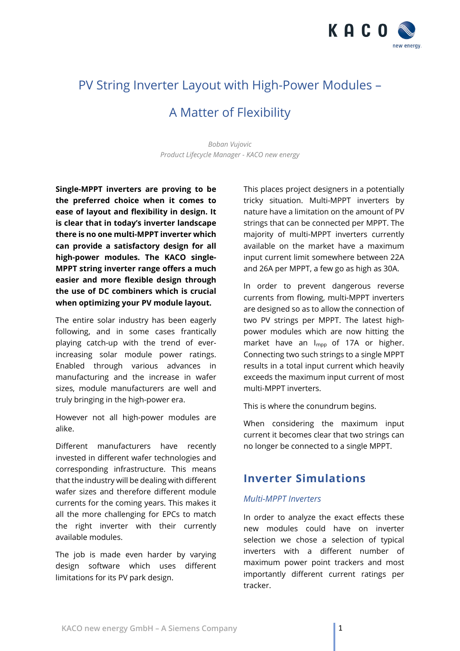

# PV String Inverter Layout with High-Power Modules –

## A Matter of Flexibility

*Boban Vujovic Product Lifecycle Manager - KACO new energy*

**Single-MPPT inverters are proving to be the preferred choice when it comes to ease of layout and flexibility in design. It is clear that in today's inverter landscape there is no one multi-MPPT inverter which can provide a satisfactory design for all high-power modules. The KACO single-MPPT string inverter range offers a much easier and more flexible design through the use of DC combiners which is crucial when optimizing your PV module layout.**

The entire solar industry has been eagerly following, and in some cases frantically playing catch-up with the trend of everincreasing solar module power ratings. Enabled through various advances in manufacturing and the increase in wafer sizes, module manufacturers are well and truly bringing in the high-power era.

However not all high-power modules are alike.

Different manufacturers have recently invested in different wafer technologies and corresponding infrastructure. This means that the industry will be dealing with different wafer sizes and therefore different module currents for the coming years. This makes it all the more challenging for EPCs to match the right inverter with their currently available modules.

The job is made even harder by varying design software which uses different limitations for its PV park design.

This places project designers in a potentially tricky situation. Multi-MPPT inverters by nature have a limitation on the amount of PV strings that can be connected per MPPT. The majority of multi-MPPT inverters currently available on the market have a maximum input current limit somewhere between 22A and 26A per MPPT, a few go as high as 30A.

In order to prevent dangerous reverse currents from flowing, multi-MPPT inverters are designed so as to allow the connection of two PV strings per MPPT. The latest highpower modules which are now hitting the market have an I<sub>mpp</sub> of 17A or higher. Connecting two such strings to a single MPPT results in a total input current which heavily exceeds the maximum input current of most multi-MPPT inverters.

This is where the conundrum begins.

When considering the maximum input current it becomes clear that two strings can no longer be connected to a single MPPT.

### **Inverter Simulations**

#### *Multi-MPPT Inverters*

In order to analyze the exact effects these new modules could have on inverter selection we chose a selection of typical inverters with a different number of maximum power point trackers and most importantly different current ratings per tracker.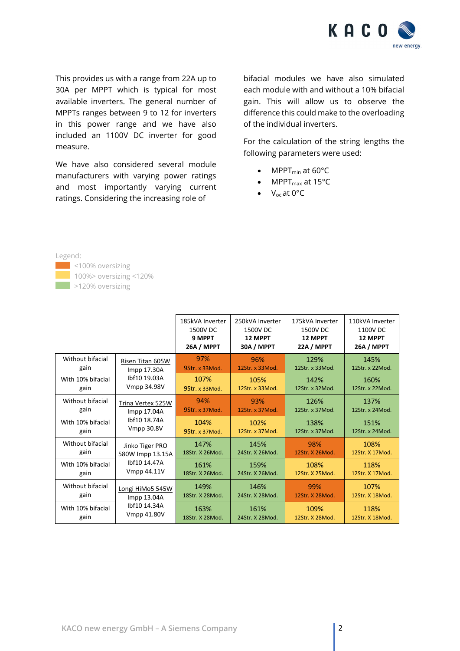

This provides us with a range from 22A up to 30A per MPPT which is typical for most available inverters. The general number of MPPTs ranges between 9 to 12 for inverters in this power range and we have also included an 1100V DC inverter for good measure.

We have also considered several module manufacturers with varying power ratings and most importantly varying current ratings. Considering the increasing role of

bifacial modules we have also simulated each module with and without a 10% bifacial gain. This will allow us to observe the difference this could make to the overloading of the individual inverters.

For the calculation of the string lengths the following parameters were used:

- MPPT<sub>min</sub> at 60°C
- MPPT $_{\text{max}}$  at 15°C
- V<sub>oc</sub> at 0°C

Legend: <100% oversizing 100%> oversizing <120%

>120% oversizing

185kVA Inverter 1500V DC **9 MPPT 26A / MPPT** 250kVA Inverter 1500V DC **12 MPPT 30A / MPPT**  175kVA Inverter 1500V DC **12 MPPT 22A / MPPT**  110kVA Inverter 1100V DC **12 MPPT 26A / MPPT**  Without bifacial gain Risen Titan 605W Impp 17.30A Ibf10 19.03A Vmpp 34.98V 97% 9Str. x 33Mod. 96% 12Str. x 33Mod. 129% 12Str. x 33Mod. 145% 12Str. x 22Mod. With 10% bifacial gain 107% 9Str. x 33Mod. 105% 12Str. x 33Mod. 142% 12Str. x 32Mod. 160% 12Str. x 22Mod. Without bifacial gain Trina Vertex 525W Impp 17.04A Ibf10 18.74A Vmpp 30.8V 94% 9Str. x 37Mod. 93% 12Str. x 37Mod. 126% 12Str. x 37Mod. 137% 12Str. x 24Mod. With 10% bifacial gain 104% 9Str. x 37Mod. 102% 12Str. x 37Mod. 138% 12Str. x 37Mod. 151% 12Str. x 24Mod. Without bifacial gain Jinko Tiger PRO 580W Impp 13.15A Ibf10 14.47A Vmpp 44.11V 147% 18Str. X 26Mod. 145% 24Str. X 26Mod. 98% 12Str. X 26Mod. 108% 12Str. X 17Mod. With 10% bifacial gain 161% 18Str. X 26Mod. 159% 24Str. X 26Mod. 108% 12Str. X 25Mod. 118% 12Str. X 17Mod. Without bifacial gain Longi HiMo5 545W Impp 13.04A Ibf10 14.34A Vmpp 41.80V 149% 146%<br>18Str. X 28Mod. 24Str. X 28Mod. 99% 12Str. X 28Mod. 107% 12Str. X 18Mod. With 10% bifacial gain 163% 18Str. X 28Mod. 161% 24Str. X 28Mod. 109% 12Str. X 28Mod. 118% 12Str. X 18Mod.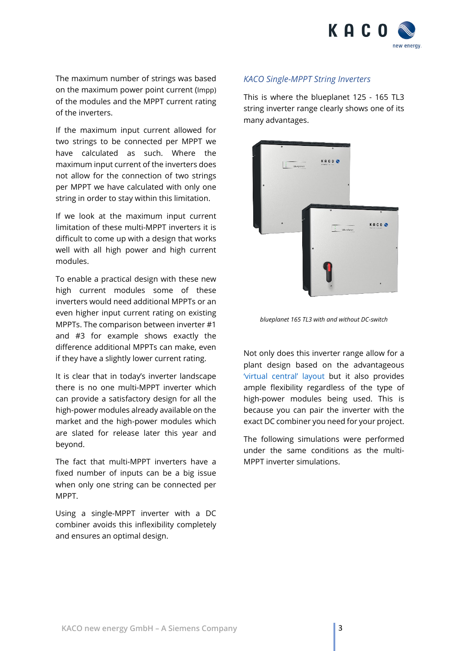

The maximum number of strings was based on the maximum power point current (Impp) of the modules and the MPPT current rating of the inverters.

If the maximum input current allowed for two strings to be connected per MPPT we have calculated as such. Where the maximum input current of the inverters does not allow for the connection of two strings per MPPT we have calculated with only one string in order to stay within this limitation.

If we look at the maximum input current limitation of these multi-MPPT inverters it is difficult to come up with a design that works well with all high power and high current modules.

To enable a practical design with these new high current modules some of these inverters would need additional MPPTs or an even higher input current rating on existing MPPTs. The comparison between inverter #1 and #3 for example shows exactly the difference additional MPPTs can make, even if they have a slightly lower current rating.

It is clear that in today's inverter landscape there is no one multi-MPPT inverter which can provide a satisfactory design for all the high-power modules already available on the market and the high-power modules which are slated for release later this year and beyond.

The fact that multi-MPPT inverters have a fixed number of inputs can be a big issue when only one string can be connected per MPPT.

Using a single-MPPT inverter with a DC combiner avoids this inflexibility completely and ensures an optimal design.

#### *KACO Single-MPPT String Inverters*

This is where the blueplanet 125 - 165 TL3 string inverter range clearly shows one of its many advantages.



*blueplanet 165 TL3 with and without DC-switch*

Not only does this inverter range allow for a plant design based on the advantageous ['virtual central' layout](https://kaco-newenergy.com/fileadmin/downloads/documents/KNE-PAP-Virtual-Central-Cost-Benefit.pdf) but it also provides ample flexibility regardless of the type of high-power modules being used. This is because you can pair the inverter with the exact DC combiner you need for your project.

The following simulations were performed under the same conditions as the multi-MPPT inverter simulations.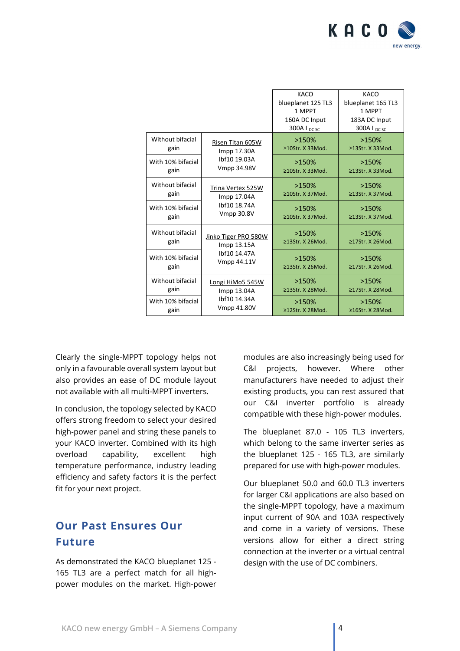

|                           |                                                                       | KACO                            | KACO                             |
|---------------------------|-----------------------------------------------------------------------|---------------------------------|----------------------------------|
|                           |                                                                       | blueplanet 125 TL3              | blueplanet 165 TL3               |
|                           |                                                                       | 1 MPPT                          | 1 MPPT                           |
|                           |                                                                       | 160A DC Input                   | 183A DC Input                    |
|                           |                                                                       | 300A I <sub>DC SC</sub>         | 300A $I_{DCSC}$                  |
| Without bifacial<br>gain  | Risen Titan 605W<br>Impp 17.30A<br>Ibf10 19.03A<br><b>Vmpp 34.98V</b> | >150%<br>≥10Str. X 33Mod.       | >150%<br>≥13Str. X 33Mod.        |
| With 10% bifacial<br>gain |                                                                       | >150%<br>≥10Str. X 33Mod.       | >150%<br>≥13Str. X 33Mod.        |
| Without bifacial<br>gain  | Trina Vertex 525W<br>Impp 17.04A<br>Ibf10 18.74A<br>Vmpp 30.8V        | >150%<br>≥10Str. X 37Mod.       | >150%<br>≥13Str. X 37Mod.        |
| With 10% bifacial<br>gain |                                                                       | >150%<br>≥10Str. X 37Mod.       | >150%<br>≥13Str. X 37Mod.        |
| Without bifacial<br>gain  | Jinko Tiger PRO 580W<br>Impp 13.15A<br>Ibf10 14.47A<br>Vmpp 44.11V    | >150%<br>≥13Str. X 26Mod.       | >150%<br>≥17Str. X 26Mod.        |
| With 10% bifacial<br>gain |                                                                       | >150%<br>≥13Str. X 26Mod.       | >150%<br>≥17Str. X 26Mod.        |
| Without bifacial<br>gain  | Longi HiMo5 545W<br>Impp 13.04A<br>Ibf10 14.34A<br><b>Vmpp 41.80V</b> | >150%<br>≥13Str. X 28Mod.       | >150%<br>≥17Str. X 28Mod.        |
| With 10% bifacial<br>gain |                                                                       | >150%<br>$\geq$ 12Str. X 28Mod. | >150%<br>$\geq 16$ Str. X 28Mod. |

Clearly the single-MPPT topology helps not only in a favourable overall system layout but also provides an ease of DC module layout not available with all multi-MPPT inverters.

In conclusion, the topology selected by KACO offers strong freedom to select your desired high-power panel and string these panels to your KACO inverter. Combined with its high overload capability, excellent high temperature performance, industry leading efficiency and safety factors it is the perfect fit for your next project.

### **Our Past Ensures Our Future**

As demonstrated the KACO blueplanet 125 - 165 TL3 are a perfect match for all highpower modules on the market. High-power modules are also increasingly being used for C&I projects, however. Where other manufacturers have needed to adjust their existing products, you can rest assured that our C&I inverter portfolio is already compatible with these high-power modules.

The blueplanet 87.0 - 105 TL3 inverters, which belong to the same inverter series as the blueplanet 125 - 165 TL3, are similarly prepared for use with high-power modules.

Our blueplanet 50.0 and 60.0 TL3 inverters for larger C&I applications are also based on the single-MPPT topology, have a maximum input current of 90A and 103A respectively and come in a variety of versions. These versions allow for either a direct string connection at the inverter or a virtual central design with the use of DC combiners.